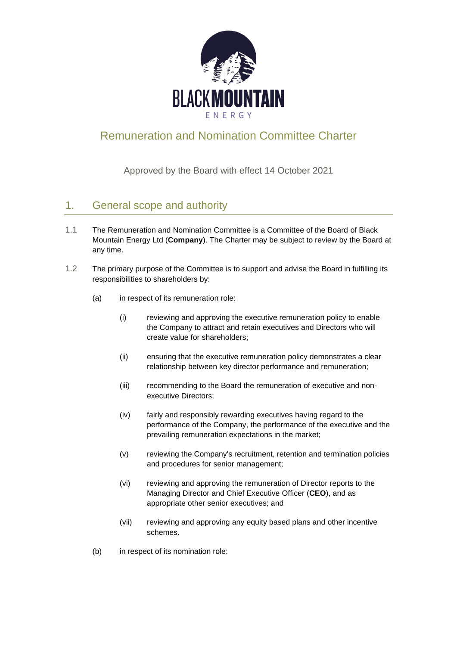

# Remuneration and Nomination Committee Charter

Approved by the Board with effect 14 October 2021

## 1. General scope and authority

- 1.1 The Remuneration and Nomination Committee is a Committee of the Board of Black Mountain Energy Ltd (**Company**). The Charter may be subject to review by the Board at any time.
- 1.2 The primary purpose of the Committee is to support and advise the Board in fulfilling its responsibilities to shareholders by:
	- (a) in respect of its remuneration role:
		- (i) reviewing and approving the executive remuneration policy to enable the Company to attract and retain executives and Directors who will create value for shareholders;
		- (ii) ensuring that the executive remuneration policy demonstrates a clear relationship between key director performance and remuneration;
		- (iii) recommending to the Board the remuneration of executive and nonexecutive Directors;
		- (iv) fairly and responsibly rewarding executives having regard to the performance of the Company, the performance of the executive and the prevailing remuneration expectations in the market;
		- (v) reviewing the Company's recruitment, retention and termination policies and procedures for senior management;
		- (vi) reviewing and approving the remuneration of Director reports to the Managing Director and Chief Executive Officer (**CEO**), and as appropriate other senior executives; and
		- (vii) reviewing and approving any equity based plans and other incentive schemes.
	- (b) in respect of its nomination role: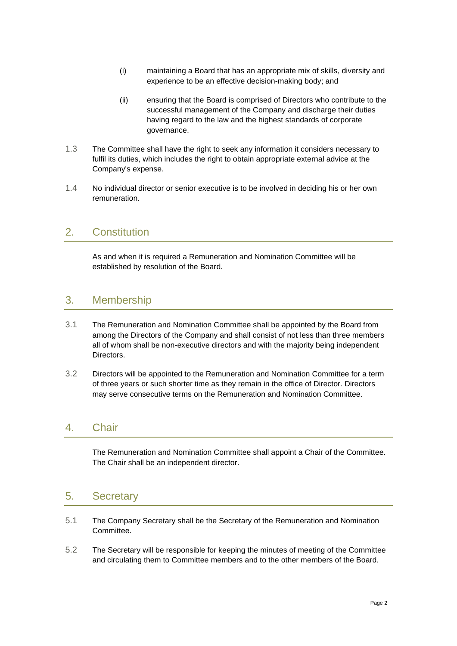- (i) maintaining a Board that has an appropriate mix of skills, diversity and experience to be an effective decision-making body; and
- (ii) ensuring that the Board is comprised of Directors who contribute to the successful management of the Company and discharge their duties having regard to the law and the highest standards of corporate governance.
- 1.3 The Committee shall have the right to seek any information it considers necessary to fulfil its duties, which includes the right to obtain appropriate external advice at the Company's expense.
- 1.4 No individual director or senior executive is to be involved in deciding his or her own remuneration.

### 2. Constitution

As and when it is required a Remuneration and Nomination Committee will be established by resolution of the Board.

#### 3. Membership

- 3.1 The Remuneration and Nomination Committee shall be appointed by the Board from among the Directors of the Company and shall consist of not less than three members all of whom shall be non-executive directors and with the majority being independent Directors.
- 3.2 Directors will be appointed to the Remuneration and Nomination Committee for a term of three years or such shorter time as they remain in the office of Director. Directors may serve consecutive terms on the Remuneration and Nomination Committee.

#### 4. Chair

The Remuneration and Nomination Committee shall appoint a Chair of the Committee. The Chair shall be an independent director.

#### 5. Secretary

- 5.1 The Company Secretary shall be the Secretary of the Remuneration and Nomination Committee.
- 5.2 The Secretary will be responsible for keeping the minutes of meeting of the Committee and circulating them to Committee members and to the other members of the Board.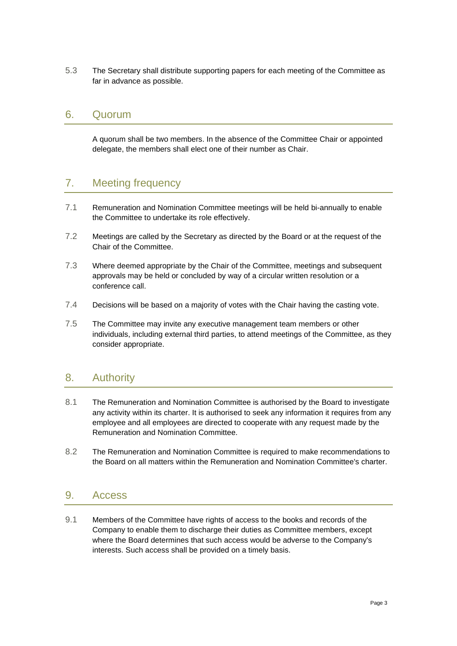5.3 The Secretary shall distribute supporting papers for each meeting of the Committee as far in advance as possible.

#### 6. Quorum

A quorum shall be two members. In the absence of the Committee Chair or appointed delegate, the members shall elect one of their number as Chair.

### 7. Meeting frequency

- 7.1 Remuneration and Nomination Committee meetings will be held bi-annually to enable the Committee to undertake its role effectively.
- 7.2 Meetings are called by the Secretary as directed by the Board or at the request of the Chair of the Committee.
- 7.3 Where deemed appropriate by the Chair of the Committee, meetings and subsequent approvals may be held or concluded by way of a circular written resolution or a conference call.
- 7.4 Decisions will be based on a majority of votes with the Chair having the casting vote.
- 7.5 The Committee may invite any executive management team members or other individuals, including external third parties, to attend meetings of the Committee, as they consider appropriate.

#### 8. Authority

- 8.1 The Remuneration and Nomination Committee is authorised by the Board to investigate any activity within its charter. It is authorised to seek any information it requires from any employee and all employees are directed to cooperate with any request made by the Remuneration and Nomination Committee.
- 8.2 The Remuneration and Nomination Committee is required to make recommendations to the Board on all matters within the Remuneration and Nomination Committee's charter.

#### 9. Access

9.1 Members of the Committee have rights of access to the books and records of the Company to enable them to discharge their duties as Committee members, except where the Board determines that such access would be adverse to the Company's interests. Such access shall be provided on a timely basis.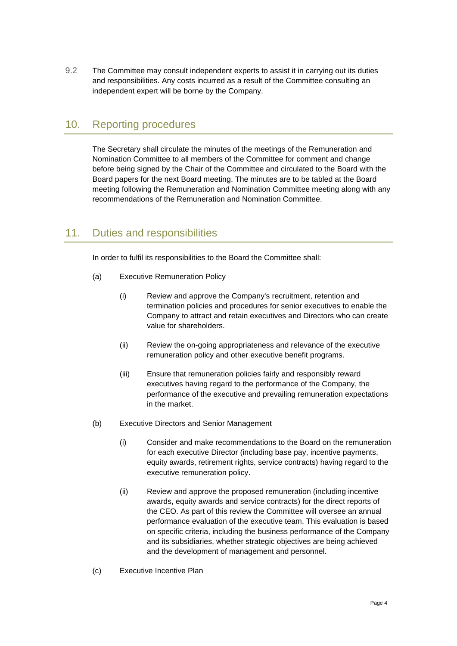9.2 The Committee may consult independent experts to assist it in carrying out its duties and responsibilities. Any costs incurred as a result of the Committee consulting an independent expert will be borne by the Company.

### 10. Reporting procedures

The Secretary shall circulate the minutes of the meetings of the Remuneration and Nomination Committee to all members of the Committee for comment and change before being signed by the Chair of the Committee and circulated to the Board with the Board papers for the next Board meeting. The minutes are to be tabled at the Board meeting following the Remuneration and Nomination Committee meeting along with any recommendations of the Remuneration and Nomination Committee.

## 11. Duties and responsibilities

In order to fulfil its responsibilities to the Board the Committee shall:

- (a) Executive Remuneration Policy
	- (i) Review and approve the Company's recruitment, retention and termination policies and procedures for senior executives to enable the Company to attract and retain executives and Directors who can create value for shareholders.
	- (ii) Review the on-going appropriateness and relevance of the executive remuneration policy and other executive benefit programs.
	- (iii) Ensure that remuneration policies fairly and responsibly reward executives having regard to the performance of the Company, the performance of the executive and prevailing remuneration expectations in the market.
- <span id="page-3-0"></span>(b) Executive Directors and Senior Management
	- (i) Consider and make recommendations to the Board on the remuneration for each executive Director (including base pay, incentive payments, equity awards, retirement rights, service contracts) having regard to the executive remuneration policy.
	- (ii) Review and approve the proposed remuneration (including incentive awards, equity awards and service contracts) for the direct reports of the CEO. As part of this review the Committee will oversee an annual performance evaluation of the executive team. This evaluation is based on specific criteria, including the business performance of the Company and its subsidiaries, whether strategic objectives are being achieved and the development of management and personnel.
- (c) Executive Incentive Plan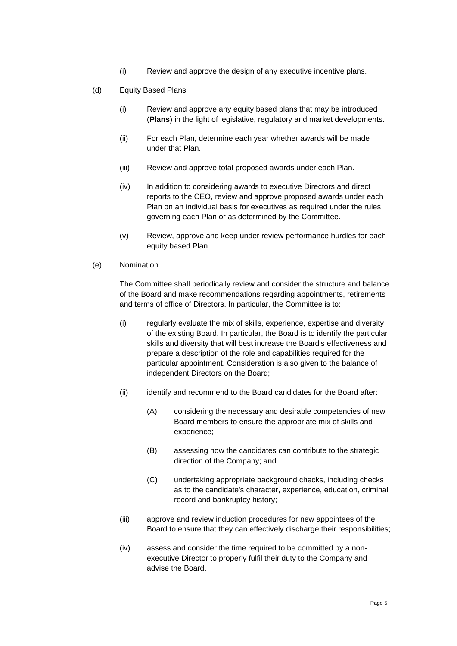- (i) Review and approve the design of any executive incentive plans.
- (d) Equity Based Plans
	- (i) Review and approve any equity based plans that may be introduced (**Plans**) in the light of legislative, regulatory and market developments.
	- (ii) For each Plan, determine each year whether awards will be made under that Plan.
	- (iii) Review and approve total proposed awards under each Plan.
	- (iv) In addition to considering awards to executive Directors and direct reports to the CEO, review and approve proposed awards under each Plan on an individual basis for executives as required under the rules governing each Plan or as determined by the Committee.
	- (v) Review, approve and keep under review performance hurdles for each equity based Plan.
- (e) Nomination

The Committee shall periodically review and consider the structure and balance of the Board and make recommendations regarding appointments, retirements and terms of office of Directors. In particular, the Committee is to:

- (i) regularly evaluate the mix of skills, experience, expertise and diversity of the existing Board. In particular, the Board is to identify the particular skills and diversity that will best increase the Board's effectiveness and prepare a description of the role and capabilities required for the particular appointment. Consideration is also given to the balance of independent Directors on the Board;
- (ii) identify and recommend to the Board candidates for the Board after:
	- (A) considering the necessary and desirable competencies of new Board members to ensure the appropriate mix of skills and experience;
	- (B) assessing how the candidates can contribute to the strategic direction of the Company; and
	- (C) undertaking appropriate background checks, including checks as to the candidate's character, experience, education, criminal record and bankruptcy history;
- (iii) approve and review induction procedures for new appointees of the Board to ensure that they can effectively discharge their responsibilities;
- (iv) assess and consider the time required to be committed by a nonexecutive Director to properly fulfil their duty to the Company and advise the Board.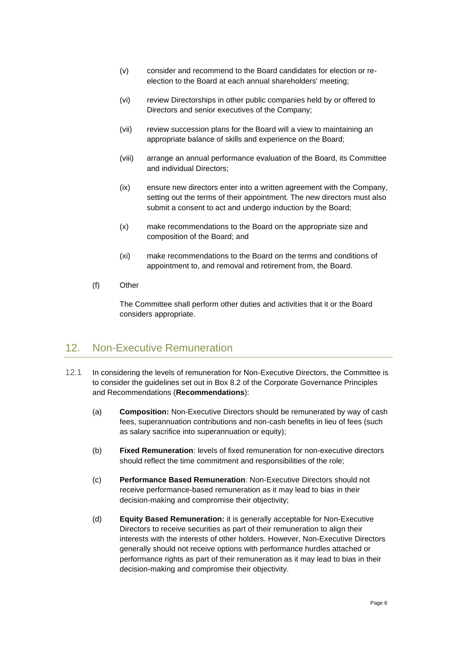- (v) consider and recommend to the Board candidates for election or reelection to the Board at each annual shareholders' meeting;
- (vi) review Directorships in other public companies held by or offered to Directors and senior executives of the Company;
- (vii) review succession plans for the Board will a view to maintaining an appropriate balance of skills and experience on the Board;
- (viii) arrange an annual performance evaluation of the Board, its Committee and individual Directors;
- (ix) ensure new directors enter into a written agreement with the Company, setting out the terms of their appointment. The new directors must also submit a consent to act and undergo induction by the Board;
- (x) make recommendations to the Board on the appropriate size and composition of the Board; and
- (xi) make recommendations to the Board on the terms and conditions of appointment to, and removal and retirement from, the Board.
- (f) Other

The Committee shall perform other duties and activities that it or the Board considers appropriate.

#### 12. Non-Executive Remuneration

- 12.1 In considering the levels of remuneration for Non-Executive Directors, the Committee is to consider the guidelines set out in Box 8.2 of the Corporate Governance Principles and Recommendations (**Recommendations**):
	- (a) **Composition:** Non-Executive Directors should be remunerated by way of cash fees, superannuation contributions and non-cash benefits in lieu of fees (such as salary sacrifice into superannuation or equity);
	- (b) **Fixed Remuneration**: levels of fixed remuneration for non-executive directors should reflect the time commitment and responsibilities of the role;
	- (c) **Performance Based Remuneration**: Non-Executive Directors should not receive performance-based remuneration as it may lead to bias in their decision-making and compromise their objectivity;
	- (d) **Equity Based Remuneration:** it is generally acceptable for Non-Executive Directors to receive securities as part of their remuneration to align their interests with the interests of other holders. However, Non-Executive Directors generally should not receive options with performance hurdles attached or performance rights as part of their remuneration as it may lead to bias in their decision-making and compromise their objectivity.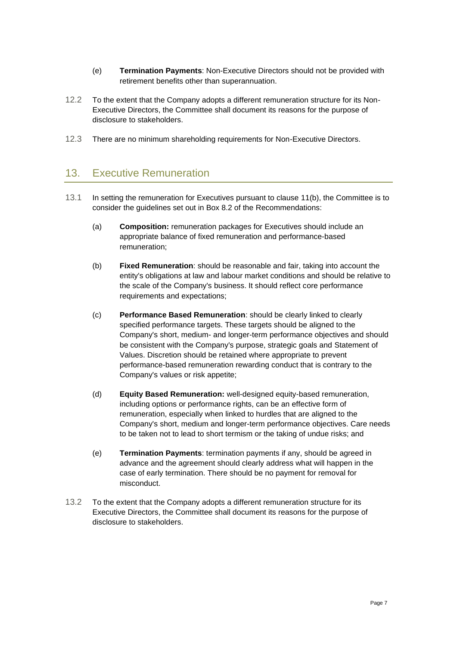- (e) **Termination Payments**: Non-Executive Directors should not be provided with retirement benefits other than superannuation.
- 12.2 To the extent that the Company adopts a different remuneration structure for its Non-Executive Directors, the Committee shall document its reasons for the purpose of disclosure to stakeholders.
- 12.3 There are no minimum shareholding requirements for Non-Executive Directors.

## 13. Executive Remuneration

- 13.1 In setting the remuneration for Executives pursuant to clause [11\(b\),](#page-3-0) the Committee is to consider the guidelines set out in Box 8.2 of the Recommendations:
	- (a) **Composition:** remuneration packages for Executives should include an appropriate balance of fixed remuneration and performance-based remuneration;
	- (b) **Fixed Remuneration**: should be reasonable and fair, taking into account the entity's obligations at law and labour market conditions and should be relative to the scale of the Company's business. It should reflect core performance requirements and expectations;
	- (c) **Performance Based Remuneration**: should be clearly linked to clearly specified performance targets. These targets should be aligned to the Company's short, medium- and longer-term performance objectives and should be consistent with the Company's purpose, strategic goals and Statement of Values. Discretion should be retained where appropriate to prevent performance-based remuneration rewarding conduct that is contrary to the Company's values or risk appetite;
	- (d) **Equity Based Remuneration:** well-designed equity-based remuneration, including options or performance rights, can be an effective form of remuneration, especially when linked to hurdles that are aligned to the Company's short, medium and longer-term performance objectives. Care needs to be taken not to lead to short termism or the taking of undue risks; and
	- (e) **Termination Payments**: termination payments if any, should be agreed in advance and the agreement should clearly address what will happen in the case of early termination. There should be no payment for removal for misconduct.
- 13.2 To the extent that the Company adopts a different remuneration structure for its Executive Directors, the Committee shall document its reasons for the purpose of disclosure to stakeholders.